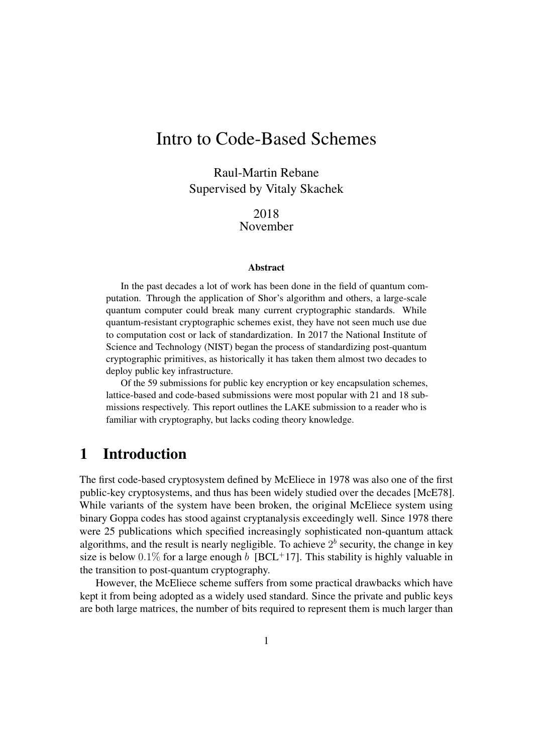# Intro to Code-Based Schemes

Raul-Martin Rebane Supervised by Vitaly Skachek

> 2018 November

#### Abstract

In the past decades a lot of work has been done in the field of quantum computation. Through the application of Shor's algorithm and others, a large-scale quantum computer could break many current cryptographic standards. While quantum-resistant cryptographic schemes exist, they have not seen much use due to computation cost or lack of standardization. In 2017 the National Institute of Science and Technology (NIST) began the process of standardizing post-quantum cryptographic primitives, as historically it has taken them almost two decades to deploy public key infrastructure.

Of the 59 submissions for public key encryption or key encapsulation schemes, lattice-based and code-based submissions were most popular with 21 and 18 submissions respectively. This report outlines the LAKE submission to a reader who is familiar with cryptography, but lacks coding theory knowledge.

## 1 Introduction

The first code-based cryptosystem defined by McEliece in 1978 was also one of the first public-key cryptosystems, and thus has been widely studied over the decades [\[McE78\]](#page-6-0). While variants of the system have been broken, the original McEliece system using binary Goppa codes has stood against cryptanalysis exceedingly well. Since 1978 there were 25 publications which specified increasingly sophisticated non-quantum attack algorithms, and the result is nearly negligible. To achieve  $2<sup>b</sup>$  security, the change in key size is below 0.1% for a large enough b [\[BCL](#page-6-1)+17]. This stability is highly valuable in the transition to post-quantum cryptography.

However, the McEliece scheme suffers from some practical drawbacks which have kept it from being adopted as a widely used standard. Since the private and public keys are both large matrices, the number of bits required to represent them is much larger than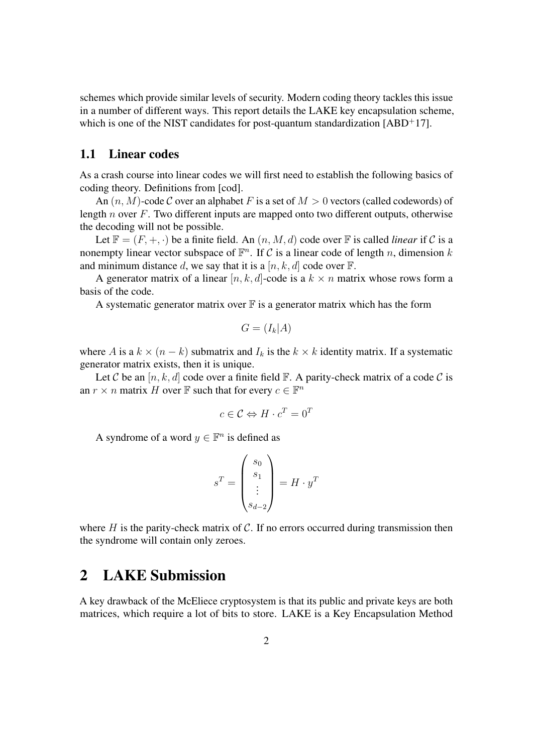schemes which provide similar levels of security. Modern coding theory tackles this issue in a number of different ways. This report details the LAKE key encapsulation scheme, which is one of the NIST candidates for post-quantum standardization  $[ABD^+17]$  $[ABD^+17]$ .

### 1.1 Linear codes

As a crash course into linear codes we will first need to establish the following basics of coding theory. Definitions from [\[cod\]](#page-6-2).

An  $(n, M)$ -code C over an alphabet F is a set of  $M > 0$  vectors (called codewords) of length  $n$  over  $F$ . Two different inputs are mapped onto two different outputs, otherwise the decoding will not be possible.

Let  $\mathbb{F} = (F, +, \cdot)$  be a finite field. An  $(n, M, d)$  code over  $\mathbb F$  is called *linear* if C is a nonempty linear vector subspace of  $\mathbb{F}^n$ . If C is a linear code of length n, dimension k and minimum distance d, we say that it is a  $[n, k, d]$  code over  $\mathbb{F}$ .

A generator matrix of a linear  $[n, k, d]$ -code is a  $k \times n$  matrix whose rows form a basis of the code.

A systematic generator matrix over  $\mathbb F$  is a generator matrix which has the form

$$
G=(I_k|A)
$$

where A is a  $k \times (n - k)$  submatrix and  $I_k$  is the  $k \times k$  identity matrix. If a systematic generator matrix exists, then it is unique.

Let C be an  $[n, k, d]$  code over a finite field  $\mathbb{F}$ . A parity-check matrix of a code C is an  $r \times n$  matrix H over  $\mathbb F$  such that for every  $c \in \mathbb F^n$ 

$$
c \in \mathcal{C} \Leftrightarrow H \cdot c^T = 0^T
$$

A syndrome of a word  $y \in \mathbb{F}^n$  is defined as

$$
s^T = \begin{pmatrix} s_0 \\ s_1 \\ \vdots \\ s_{d-2} \end{pmatrix} = H \cdot y^T
$$

where  $H$  is the parity-check matrix of  $C$ . If no errors occurred during transmission then the syndrome will contain only zeroes.

## 2 LAKE Submission

A key drawback of the McEliece cryptosystem is that its public and private keys are both matrices, which require a lot of bits to store. LAKE is a Key Encapsulation Method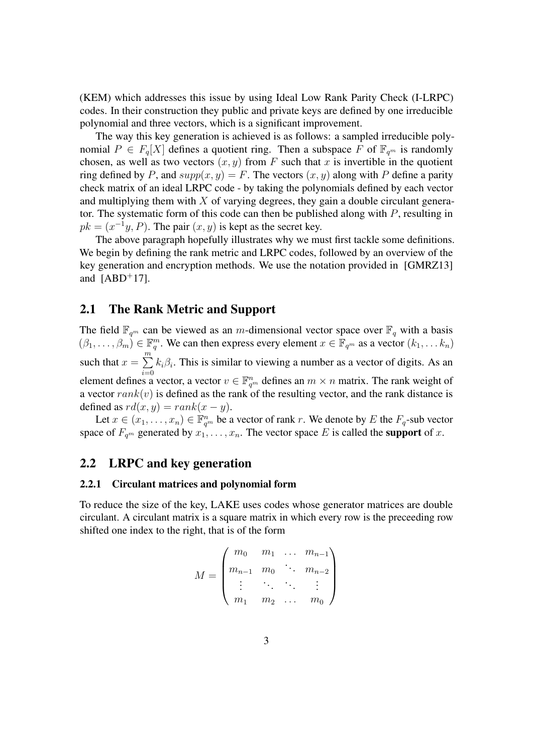(KEM) which addresses this issue by using Ideal Low Rank Parity Check (I-LRPC) codes. In their construction they public and private keys are defined by one irreducible polynomial and three vectors, which is a significant improvement.

The way this key generation is achieved is as follows: a sampled irreducible polynomial  $P \in F_q[X]$  defines a quotient ring. Then a subspace F of  $\mathbb{F}_{q^m}$  is randomly chosen, as well as two vectors  $(x, y)$  from F such that x is invertible in the quotient ring defined by P, and  $supp(x, y) = F$ . The vectors  $(x, y)$  along with P define a parity check matrix of an ideal LRPC code - by taking the polynomials defined by each vector and multiplying them with  $X$  of varying degrees, they gain a double circulant generator. The systematic form of this code can then be published along with P, resulting in  $pk = (x^{-1}y, P)$ . The pair  $(x, y)$  is kept as the secret key.

The above paragraph hopefully illustrates why we must first tackle some definitions. We begin by defining the rank metric and LRPC codes, followed by an overview of the key generation and encryption methods. We use the notation provided in [\[GMRZ13\]](#page-6-3) and  $[ABD+17]$  $[ABD+17]$ .

### 2.1 The Rank Metric and Support

The field  $\mathbb{F}_{q^m}$  can be viewed as an m-dimensional vector space over  $\mathbb{F}_q$  with a basis  $(\beta_1,\ldots,\beta_m)\in\mathbb{F}_q^m$ . We can then express every element  $x\in\mathbb{F}_{q^m}$  as a vector  $(k_1,\ldots,k_n)$ such that  $x = \sum^{m}$  $i=0$  $k_i \beta_i$ . This is similar to viewing a number as a vector of digits. As an element defines a vector, a vector  $v \in \mathbb{F}_{q^m}^n$  defines an  $m \times n$  matrix. The rank weight of a vector  $rank(v)$  is defined as the rank of the resulting vector, and the rank distance is defined as  $rd(x, y) = rank(x - y)$ .

Let  $x \in (x_1, \ldots, x_n) \in \mathbb{F}_{q^m}^n$  be a vector of rank r. We denote by E the  $F_q$ -sub vector space of  $F_{q^m}$  generated by  $x_1, \ldots, x_n$ . The vector space E is called the **support** of x.

### 2.2 LRPC and key generation

#### 2.2.1 Circulant matrices and polynomial form

To reduce the size of the key, LAKE uses codes whose generator matrices are double circulant. A circulant matrix is a square matrix in which every row is the preceeding row shifted one index to the right, that is of the form

$$
M = \begin{pmatrix} m_0 & m_1 & \dots & m_{n-1} \\ m_{n-1} & m_0 & \ddots & m_{n-2} \\ \vdots & \ddots & \ddots & \vdots \\ m_1 & m_2 & \dots & m_0 \end{pmatrix}
$$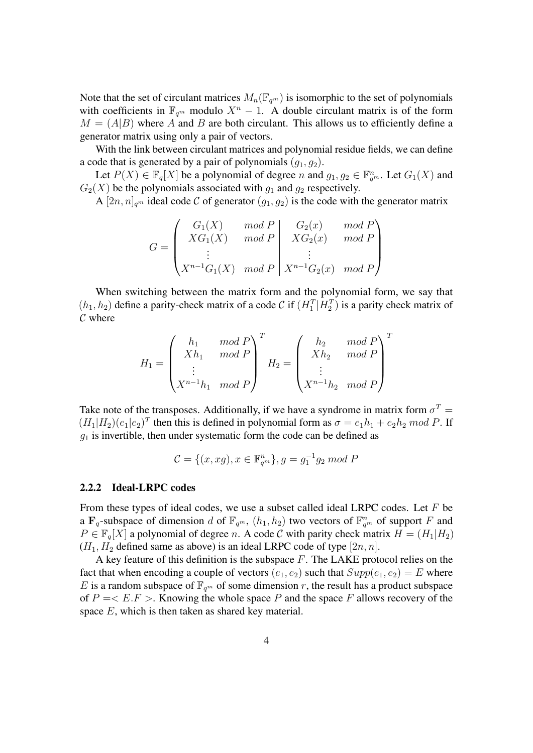Note that the set of circulant matrices  $M_n(\mathbb{F}_{q^m})$  is isomorphic to the set of polynomials with coefficients in  $\mathbb{F}_{q^m}$  modulo  $X^n - 1$ . A double circulant matrix is of the form  $M = (A|B)$  where A and B are both circulant. This allows us to efficiently define a generator matrix using only a pair of vectors.

With the link between circulant matrices and polynomial residue fields, we can define a code that is generated by a pair of polynomials  $(q_1, q_2)$ .

Let  $P(X) \in \mathbb{F}_q[X]$  be a polynomial of degree n and  $g_1, g_2 \in \mathbb{F}_{q^m}^n$ . Let  $G_1(X)$  and  $G_2(X)$  be the polynomials associated with  $g_1$  and  $g_2$  respectively.

A  $[2n, n]_{q^m}$  ideal code C of generator  $(g_1, g_2)$  is the code with the generator matrix

$$
G = \begin{pmatrix} G_1(X) & mod P \\ XG_1(X) & mod P \\ \vdots \\ X^{n-1}G_1(X) & mod P \end{pmatrix} \begin{pmatrix} G_2(x) & mod P \\ XG_2(x) & mod P \\ \vdots \\ X^{n-1}G_2(x) & mod P \end{pmatrix}
$$

When switching between the matrix form and the polynomial form, we say that  $(h_1, h_2)$  define a parity-check matrix of a code C if  $(H_1^T | H_2^T)$  is a parity check matrix of  $\mathcal C$  where

$$
H_1 = \begin{pmatrix} h_1 & mod P \\ Xh_1 & mod P \\ \vdots \\ X^{n-1}h_1 & mod P \end{pmatrix}^T H_2 = \begin{pmatrix} h_2 & mod P \\ Xh_2 & mod P \\ \vdots \\ X^{n-1}h_2 & mod P \end{pmatrix}^T
$$

Take note of the transposes. Additionally, if we have a syndrome in matrix form  $\sigma^T =$  $(H_1|H_2)(e_1|e_2)^T$  then this is defined in polynomial form as  $\sigma = e_1h_1 + e_2h_2 \mod P$ . If  $q_1$  is invertible, then under systematic form the code can be defined as

$$
\mathcal{C}=\{(x,xg),x\in\mathbb{F}_{q^m}^n\},g=g_1^{-1}g_2\bmod P
$$

#### 2.2.2 Ideal-LRPC codes

From these types of ideal codes, we use a subset called ideal LRPC codes. Let  $F$  be a  $\mathbf{F}_q$ -subspace of dimension d of  $\mathbb{F}_{q^m}$ ,  $(h_1, h_2)$  two vectors of  $\mathbb{F}_{q^m}^n$  of support F and  $P \in \mathbb{F}_q[X]$  a polynomial of degree n. A code C with parity check matrix  $H = (H_1|H_2)$  $(H_1, H_2)$  defined same as above) is an ideal LRPC code of type  $[2n, n]$ .

A key feature of this definition is the subspace  $F$ . The LAKE protocol relies on the fact that when encoding a couple of vectors  $(e_1, e_2)$  such that  $Supp(e_1, e_2) = E$  where E is a random subspace of  $\mathbb{F}_{q^m}$  of some dimension r, the result has a product subspace of  $P = \langle E.F \rangle$ . Knowing the whole space P and the space F allows recovery of the space E, which is then taken as shared key material.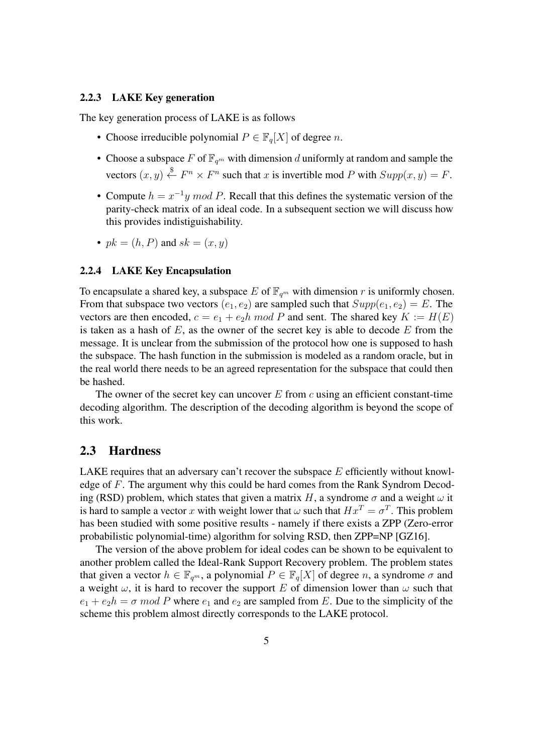#### 2.2.3 LAKE Key generation

The key generation process of LAKE is as follows

- Choose irreducible polynomial  $P \in \mathbb{F}_q[X]$  of degree n.
- Choose a subspace F of  $\mathbb{F}_{q^m}$  with dimension d uniformly at random and sample the vectors  $(x, y) \stackrel{\$}{\leftarrow} F^n \times F^n$  such that x is invertible mod P with  $Supp(x, y) = F$ .
- Compute  $h = x^{-1}y \mod P$ . Recall that this defines the systematic version of the parity-check matrix of an ideal code. In a subsequent section we will discuss how this provides indistiguishability.
- $pk = (h, P)$  and  $sk = (x, y)$

### 2.2.4 LAKE Key Encapsulation

To encapsulate a shared key, a subspace E of  $\mathbb{F}_{q^m}$  with dimension r is uniformly chosen. From that subspace two vectors  $(e_1, e_2)$  are sampled such that  $Supp(e_1, e_2) = E$ . The vectors are then encoded,  $c = e_1 + e_2h \mod P$  and sent. The shared key  $K := H(E)$ is taken as a hash of  $E$ , as the owner of the secret key is able to decode  $E$  from the message. It is unclear from the submission of the protocol how one is supposed to hash the subspace. The hash function in the submission is modeled as a random oracle, but in the real world there needs to be an agreed representation for the subspace that could then be hashed.

The owner of the secret key can uncover  $E$  from  $c$  using an efficient constant-time decoding algorithm. The description of the decoding algorithm is beyond the scope of this work.

#### 2.3 Hardness

LAKE requires that an adversary can't recover the subspace  $E$  efficiently without knowledge of F. The argument why this could be hard comes from the Rank Syndrom Decoding (RSD) problem, which states that given a matrix H, a syndrome  $\sigma$  and a weight  $\omega$  it is hard to sample a vector x with weight lower that  $\omega$  such that  $Hx^T = \sigma^T$ . This problem has been studied with some positive results - namely if there exists a ZPP (Zero-error probabilistic polynomial-time) algorithm for solving RSD, then ZPP=NP [\[GZ16\]](#page-6-4).

The version of the above problem for ideal codes can be shown to be equivalent to another problem called the Ideal-Rank Support Recovery problem. The problem states that given a vector  $h \in \mathbb{F}_{q^m}$ , a polynomial  $P \in \mathbb{F}_q[X]$  of degree n, a syndrome  $\sigma$  and a weight  $\omega$ , it is hard to recover the support E of dimension lower than  $\omega$  such that  $e_1 + e_2h = \sigma$  mod P where  $e_1$  and  $e_2$  are sampled from E. Due to the simplicity of the scheme this problem almost directly corresponds to the LAKE protocol.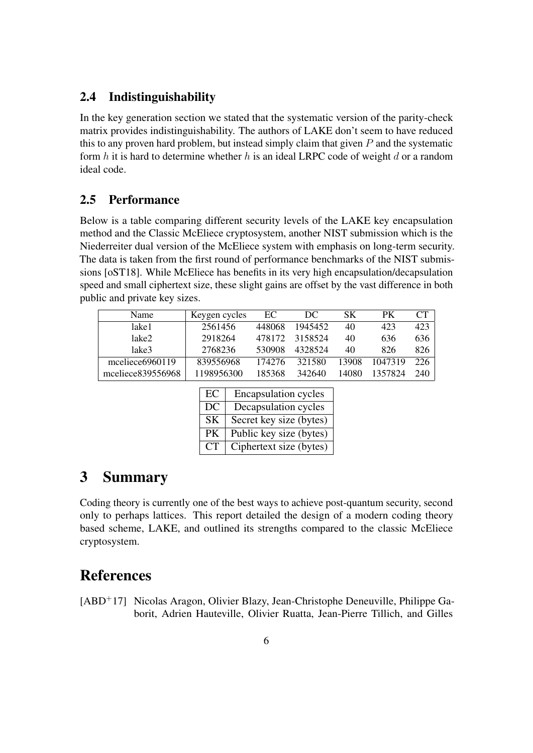## 2.4 Indistinguishability

In the key generation section we stated that the systematic version of the parity-check matrix provides indistinguishability. The authors of LAKE don't seem to have reduced this to any proven hard problem, but instead simply claim that given  $P$  and the systematic form  $h$  it is hard to determine whether  $h$  is an ideal LRPC code of weight  $d$  or a random ideal code.

## 2.5 Performance

Below is a table comparing different security levels of the LAKE key encapsulation method and the Classic McEliece cryptosystem, another NIST submission which is the Niederreiter dual version of the McEliece system with emphasis on long-term security. The data is taken from the first round of performance benchmarks of the NIST submissions [\[oST18\]](#page-6-5). While McEliece has benefits in its very high encapsulation/decapsulation speed and small ciphertext size, these slight gains are offset by the vast difference in both public and private key sizes.

| Name              | Keygen cycles | EC     | DC.     | SK.   | PК      | <b>CT</b> |
|-------------------|---------------|--------|---------|-------|---------|-----------|
| lake1             | 2561456       | 448068 | 1945452 | 40    | 423     | 423       |
| lake2             | 2918264       | 478172 | 3158524 | 40    | 636     | 636       |
| lake3             | 2768236       | 530908 | 4328524 | 40    | 826     | 826       |
| mceliece6960119   | 839556968     | 174276 | 321580  | 13908 | 1047319 | 226       |
| mceliece839556968 | 1198956300    | 185368 | 342640  | 14080 | 1357824 | 240       |

| EC        | <b>Encapsulation cycles</b> |
|-----------|-----------------------------|
| DC        | Decapsulation cycles        |
| SK.       | Secret key size (bytes)     |
| <b>PK</b> | Public key size (bytes)     |
| CT        | Ciphertext size (bytes)     |

## 3 Summary

Coding theory is currently one of the best ways to achieve post-quantum security, second only to perhaps lattices. This report detailed the design of a modern coding theory based scheme, LAKE, and outlined its strengths compared to the classic McEliece cryptosystem.

## References

<span id="page-5-0"></span>[ABD<sup>+</sup>17] Nicolas Aragon, Olivier Blazy, Jean-Christophe Deneuville, Philippe Gaborit, Adrien Hauteville, Olivier Ruatta, Jean-Pierre Tillich, and Gilles